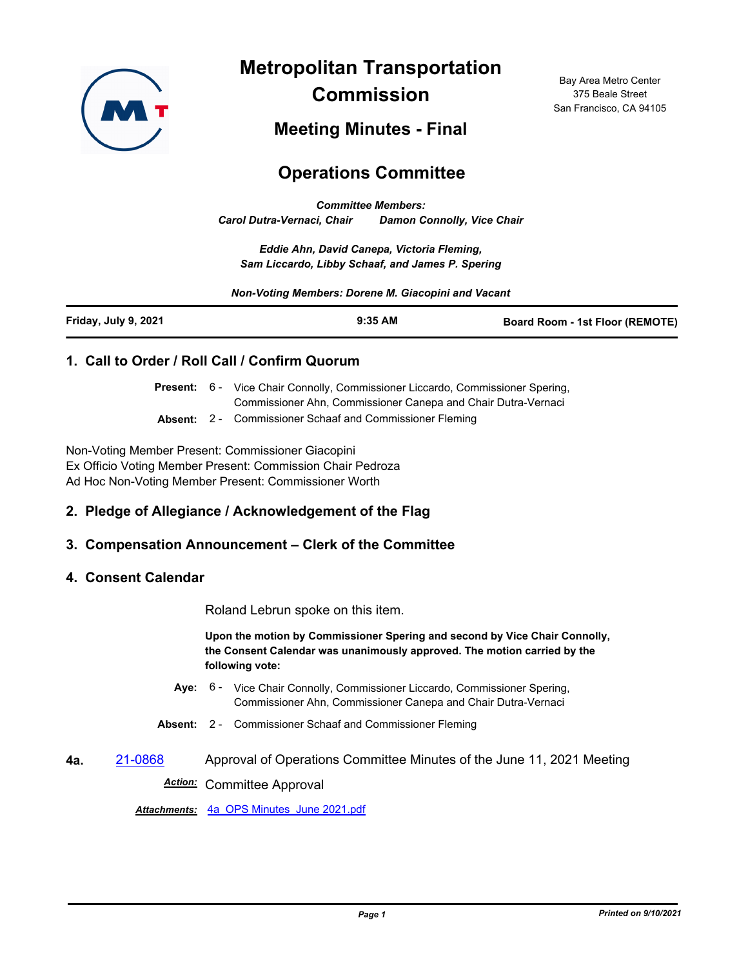

**Metropolitan Transportation Commission**

Bay Area Metro Center 375 Beale Street San Francisco, CA 94105

## **Meeting Minutes - Final**

# **Operations Committee**

*Committee Members: Carol Dutra-Vernaci, Chair Damon Connolly, Vice Chair*

*Eddie Ahn, David Canepa, Victoria Fleming, Sam Liccardo, Libby Schaaf, and James P. Spering*

#### *Non-Voting Members: Dorene M. Giacopini and Vacant*

| Friday, July 9, 2021 | $9:35$ AM | <b>Board Room - 1st Floor (REMOTE)</b> |
|----------------------|-----------|----------------------------------------|
|                      |           |                                        |

#### **1. Call to Order / Roll Call / Confirm Quorum**

|                      | Present: 6 - Vice Chair Connolly, Commissioner Liccardo, Commissioner Spering, |
|----------------------|--------------------------------------------------------------------------------|
|                      | Commissioner Ahn, Commissioner Canepa and Chair Dutra-Vernaci                  |
| $\sim$ $\sim$ $\sim$ |                                                                                |

**Absent:** 2 - Commissioner Schaaf and Commissioner Fleming

Non-Voting Member Present: Commissioner Giacopini Ex Officio Voting Member Present: Commission Chair Pedroza Ad Hoc Non-Voting Member Present: Commissioner Worth

#### **2. Pledge of Allegiance / Acknowledgement of the Flag**

#### **3. Compensation Announcement – Clerk of the Committee**

#### **4. Consent Calendar**

Roland Lebrun spoke on this item.

**Upon the motion by Commissioner Spering and second by Vice Chair Connolly, the Consent Calendar was unanimously approved. The motion carried by the following vote:**

- Aye: 6 Vice Chair Connolly, Commissioner Liccardo, Commissioner Spering, Commissioner Ahn, Commissioner Canepa and Chair Dutra-Vernaci
- **Absent:** 2 Commissioner Schaaf and Commissioner Fleming
- **4a.** [21-0868](http://mtc.legistar.com/gateway.aspx?m=l&id=/matter.aspx?key=22461) Approval of Operations Committee Minutes of the June 11, 2021 Meeting *Action:* Committee Approval

*Attachments:* [4a\\_OPS Minutes\\_June 2021.pdf](http://mtc.legistar.com/gateway.aspx?M=F&ID=2b91a5c2-a438-4232-a56c-6f983cf072d3.pdf)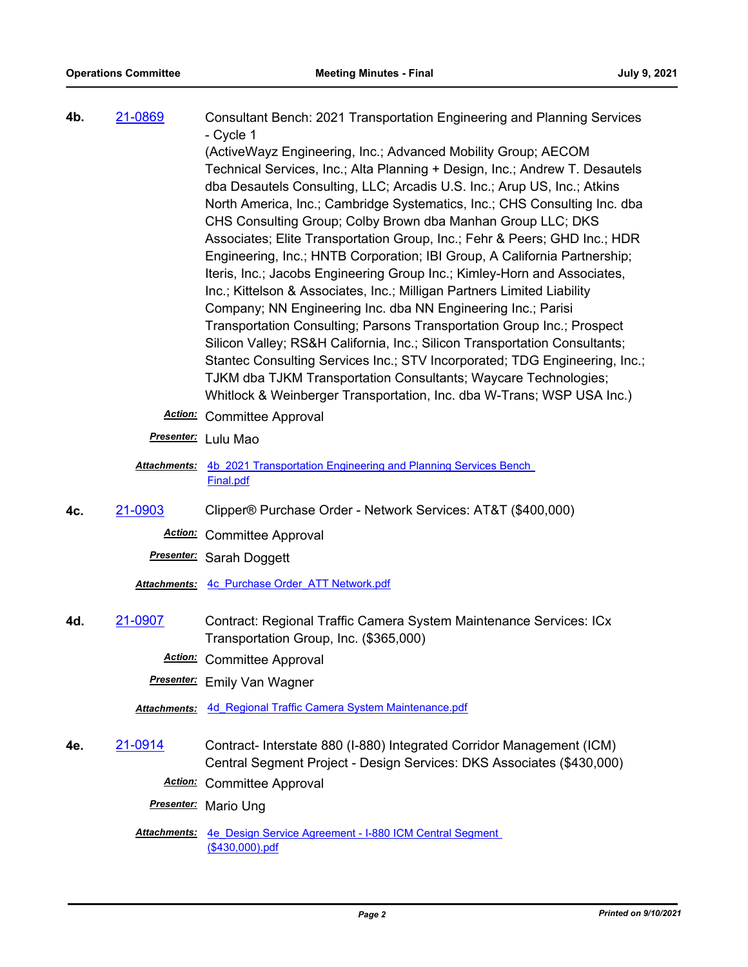**4b.** [21-0869](http://mtc.legistar.com/gateway.aspx?m=l&id=/matter.aspx?key=22462) Consultant Bench: 2021 Transportation Engineering and Planning Services - Cycle 1

(ActiveWayz Engineering, Inc.; Advanced Mobility Group; AECOM Technical Services, Inc.; Alta Planning + Design, Inc.; Andrew T. Desautels dba Desautels Consulting, LLC; Arcadis U.S. Inc.; Arup US, Inc.; Atkins North America, Inc.; Cambridge Systematics, Inc.; CHS Consulting Inc. dba CHS Consulting Group; Colby Brown dba Manhan Group LLC; DKS Associates; Elite Transportation Group, Inc.; Fehr & Peers; GHD Inc.; HDR Engineering, Inc.; HNTB Corporation; IBI Group, A California Partnership; Iteris, Inc.; Jacobs Engineering Group Inc.; Kimley-Horn and Associates, Inc.; Kittelson & Associates, Inc.; Milligan Partners Limited Liability Company; NN Engineering Inc. dba NN Engineering Inc.; Parisi Transportation Consulting; Parsons Transportation Group Inc.; Prospect Silicon Valley; RS&H California, Inc.; Silicon Transportation Consultants; Stantec Consulting Services Inc.; STV Incorporated; TDG Engineering, Inc.; TJKM dba TJKM Transportation Consultants; Waycare Technologies; Whitlock & Weinberger Transportation, Inc. dba W-Trans; WSP USA Inc.)

- *Action:* Committee Approval
- *Presenter:* Lulu Mao
- Attachments: 4b 2021 Transportation Engineering and Planning Services Bench Final.pdf
- **4c.** [21-0903](http://mtc.legistar.com/gateway.aspx?m=l&id=/matter.aspx?key=22496) Clipper® Purchase Order Network Services: AT&T (\$400,000)

*Action:* Committee Approval

*Presenter:* Sarah Doggett

*Attachments:* [4c\\_Purchase Order\\_ATT Network.pdf](http://mtc.legistar.com/gateway.aspx?M=F&ID=366cd345-2c4b-4636-a403-99b3fef4c551.pdf)

**4d.** [21-0907](http://mtc.legistar.com/gateway.aspx?m=l&id=/matter.aspx?key=22500) Contract: Regional Traffic Camera System Maintenance Services: ICx Transportation Group, Inc. (\$365,000)

*Action:* Committee Approval

*Presenter:* Emily Van Wagner

*Attachments:* [4d\\_Regional Traffic Camera System Maintenance.pdf](http://mtc.legistar.com/gateway.aspx?M=F&ID=570e182b-1b21-4538-8f5a-b809265e066b.pdf)

**4e.** [21-0914](http://mtc.legistar.com/gateway.aspx?m=l&id=/matter.aspx?key=22507) Contract- Interstate 880 (I-880) Integrated Corridor Management (ICM) Central Segment Project - Design Services: DKS Associates (\$430,000)

*Action:* Committee Approval

*Presenter:* Mario Ung

Attachments: 4e Design Service Agreement - I-880 ICM Central Segment (\$430,000).pdf